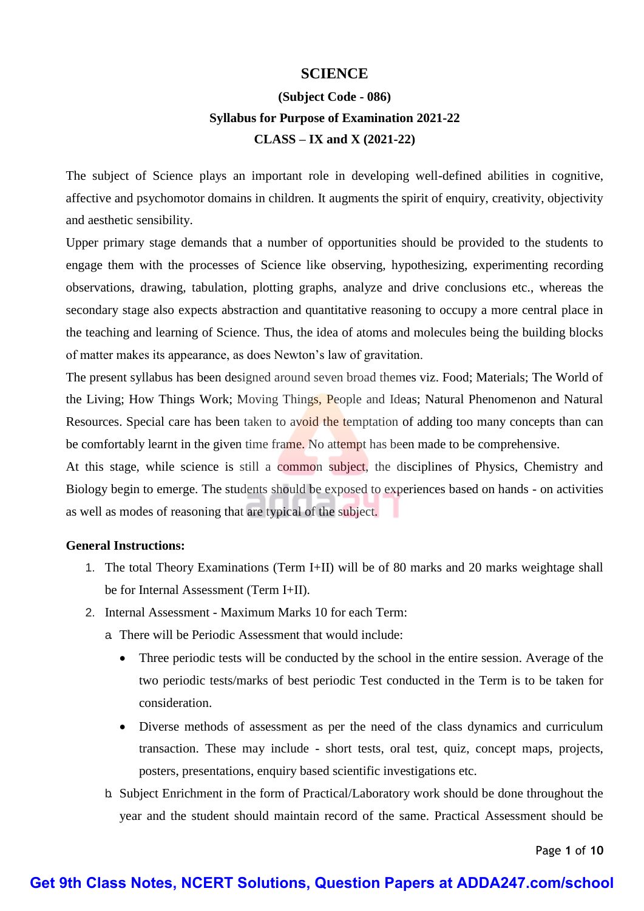### **SCIENCE**

# **(Subject Code - 086) Syllabus for Purpose of Examination 2021-22 CLASS – IX and X (2021-22)**

The subject of Science plays an important role in developing well-defined abilities in cognitive, affective and psychomotor domains in children. It augments the spirit of enquiry, creativity, objectivity and aesthetic sensibility.

Upper primary stage demands that a number of opportunities should be provided to the students to engage them with the processes of Science like observing, hypothesizing, experimenting recording observations, drawing, tabulation, plotting graphs, analyze and drive conclusions etc., whereas the secondary stage also expects abstraction and quantitative reasoning to occupy a more central place in the teaching and learning of Science. Thus, the idea of atoms and molecules being the building blocks of matter makes its appearance, as does Newton's law of gravitation.

The present syllabus has been designed around seven broad themes viz. Food; Materials; The World of the Living; How Things Work; Moving Things, People and Ideas; Natural Phenomenon and Natural Resources. Special care has been taken to avoid the temptation of adding too many concepts than can be comfortably learnt in the given time frame. No attempt has been made to be comprehensive.

At this stage, while science is still a common subject, the disciplines of Physics, Chemistry and Biology begin to emerge. The students should be exposed to experiences based on hands - on activities as well as modes of reasoning that are typical of the subject.

### **General Instructions:**

- 1. The total Theory Examinations (Term I+II) will be of 80 marks and 20 marks weightage shall be for Internal Assessment (Term I+II).
- 2. Internal Assessment Maximum Marks 10 for each Term:
	- a. There will be Periodic Assessment that would include:
		- Three periodic tests will be conducted by the school in the entire session. Average of the two periodic tests/marks of best periodic Test conducted in the Term is to be taken for consideration.
		- Diverse methods of assessment as per the need of the class dynamics and curriculum transaction. These may include - short tests, oral test, quiz, concept maps, projects, posters, presentations, enquiry based scientific investigations etc.
	- b. Subject Enrichment in the form of Practical/Laboratory work should be done throughout the year and the student should maintain record of the same. Practical Assessment should be

Page **1** of **10**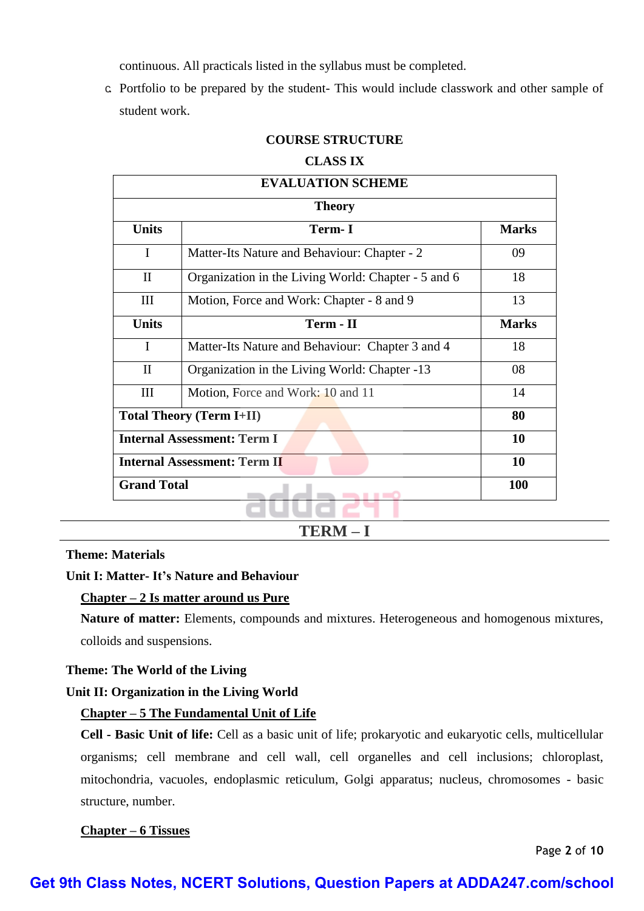continuous. All practicals listed in the syllabus must be completed.

c. Portfolio to be prepared by the student- This would include classwork and other sample of student work.

### **COURSE STRUCTURE**

#### **CLASS IX**

| <b>EVALUATION SCHEME</b>            |                                                     |              |  |  |
|-------------------------------------|-----------------------------------------------------|--------------|--|--|
| <b>Theory</b>                       |                                                     |              |  |  |
| <b>Units</b>                        | Term-I                                              | <b>Marks</b> |  |  |
| I                                   | Matter-Its Nature and Behaviour: Chapter - 2        | 09           |  |  |
| $\mathbf{I}$                        | Organization in the Living World: Chapter - 5 and 6 | 18           |  |  |
| III                                 | Motion, Force and Work: Chapter - 8 and 9           | 13           |  |  |
| <b>Units</b>                        | Term - II                                           | <b>Marks</b> |  |  |
| $\mathbf{I}$                        | Matter-Its Nature and Behaviour: Chapter 3 and 4    | 18           |  |  |
| $\mathbf{I}$                        | Organization in the Living World: Chapter -13       | 08           |  |  |
| III                                 | Motion, Force and Work: 10 and 11                   | 14           |  |  |
| <b>Total Theory (Term I+II)</b>     |                                                     | 80           |  |  |
| <b>Internal Assessment: Term I</b>  |                                                     | 10           |  |  |
| <b>Internal Assessment: Term II</b> |                                                     | 10           |  |  |
| <b>Grand Total</b>                  |                                                     | <b>100</b>   |  |  |
|                                     |                                                     |              |  |  |

**TERM – I**

**Theme: Materials** 

### **Unit I: Matter- It's Nature and Behaviour**

### **Chapter – 2 Is matter around us Pure**

**Nature of matter:** Elements, compounds and mixtures. Heterogeneous and homogenous mixtures, colloids and suspensions.

### **Theme: The World of the Living**

# **Unit II: Organization in the Living World**

### **Chapter – 5 The Fundamental Unit of Life**

**Cell - Basic Unit of life:** Cell as a basic unit of life; prokaryotic and eukaryotic cells, multicellular organisms; cell membrane and cell wall, cell organelles and cell inclusions; chloroplast, mitochondria, vacuoles, endoplasmic reticulum, Golgi apparatus; nucleus, chromosomes - basic structure, number.

### **Chapter – 6 Tissues**

Page **2** of **10**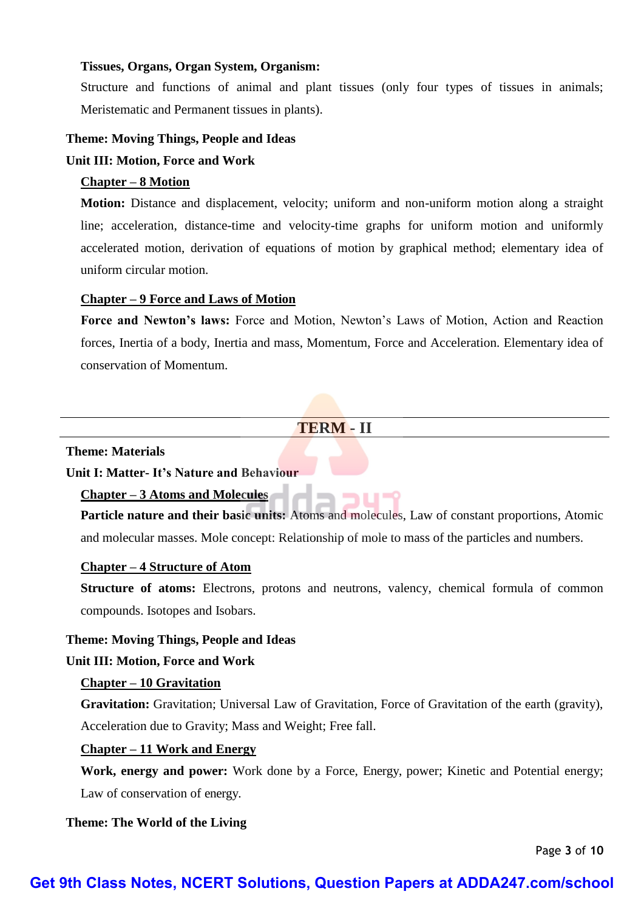### **Tissues, Organs, Organ System, Organism:**

Structure and functions of animal and plant tissues (only four types of tissues in animals; Meristematic and Permanent tissues in plants).

### **Theme: Moving Things, People and Ideas**

### **Unit III: Motion, Force and Work**

#### **Chapter – 8 Motion**

**Motion:** Distance and displacement, velocity; uniform and non-uniform motion along a straight line; acceleration, distance-time and velocity-time graphs for uniform motion and uniformly accelerated motion, derivation of equations of motion by graphical method; elementary idea of uniform circular motion.

### **Chapter – 9 Force and Laws of Motion**

**Force and Newton's laws:** Force and Motion, Newton's Laws of Motion, Action and Reaction forces, Inertia of a body, Inertia and mass, Momentum, Force and Acceleration. Elementary idea of conservation of Momentum.

### **TERM - II**

#### **Theme: Materials**

**Unit I: Matter- It's Nature and Behaviour**

### **Chapter – 3 Atoms and Molecules**

**Particle nature and their basic units:** Atoms and molecules, Law of constant proportions, Atomic and molecular masses. Mole concept: Relationship of mole to mass of the particles and numbers.

פטר כי

### **Chapter – 4 Structure of Atom**

**Structure of atoms:** Electrons, protons and neutrons, valency, chemical formula of common compounds. Isotopes and Isobars.

#### **Theme: Moving Things, People and Ideas**

#### **Unit III: Motion, Force and Work**

### **Chapter – 10 Gravitation**

**Gravitation:** Gravitation; Universal Law of Gravitation, Force of Gravitation of the earth (gravity), Acceleration due to Gravity; Mass and Weight; Free fall.

### **Chapter – 11 Work and Energy**

**Work, energy and power:** Work done by a Force, Energy, power; Kinetic and Potential energy; Law of conservation of energy.

#### **Theme: The World of the Living**

Page **3** of **10**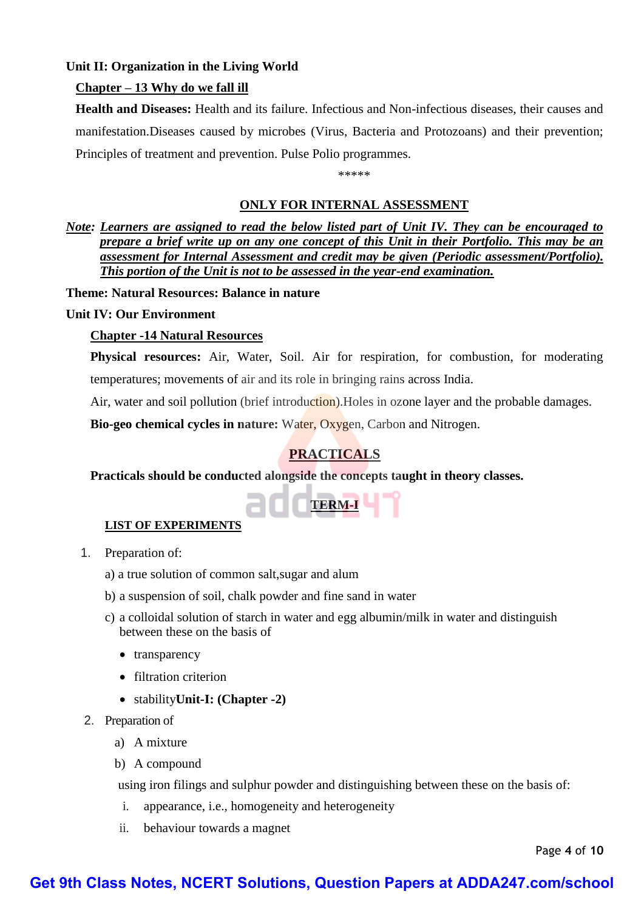### **Unit II: Organization in the Living World**

### **Chapter – 13 Why do we fall ill**

**Health and Diseases:** Health and its failure. Infectious and Non-infectious diseases, their causes and manifestation.Diseases caused by microbes (Virus, Bacteria and Protozoans) and their prevention; Principles of treatment and prevention. Pulse Polio programmes.

\*\*\*\*\*

### **ONLY FOR INTERNAL ASSESSMENT**

*Note: Learners are assigned to read the below listed part of Unit IV. They can be encouraged to prepare a brief write up on any one concept of this Unit in their Portfolio. This may be an assessment for Internal Assessment and credit may be given (Periodic assessment/Portfolio). This portion of the Unit is not to be assessed in the year-end examination.* 

**Theme: Natural Resources: Balance in nature** 

### **Unit IV: Our Environment**

### **Chapter -14 Natural Resources**

**Physical resources:** Air, Water, Soil. Air for respiration, for combustion, for moderating temperatures; movements of air and its role in bringing rains across India.

Air, water and soil pollution (brief introduction). Holes in ozone layer and the probable damages.

**Bio-geo chemical cycles in nature:** Water, Oxygen, Carbon and Nitrogen.

# **PRACTICALS**

**Practicals should be conducted alongside the concepts taught in theory classes.** 



### **LIST OF EXPERIMENTS**

- 1. Preparation of:
	- a) a true solution of common salt,sugar and alum
	- b) a suspension of soil, chalk powder and fine sand in water
	- c) a colloidal solution of starch in water and egg albumin/milk in water and distinguish between these on the basis of
		- transparency
		- filtration criterion
		- stability**Unit-I: (Chapter -2)**
- 2. Preparation of
	- a) A mixture
	- b) A compound

using iron filings and sulphur powder and distinguishing between these on the basis of:

- i. appearance, i.e., homogeneity and heterogeneity
- ii. behaviour towards a magnet

Page **4** of **10**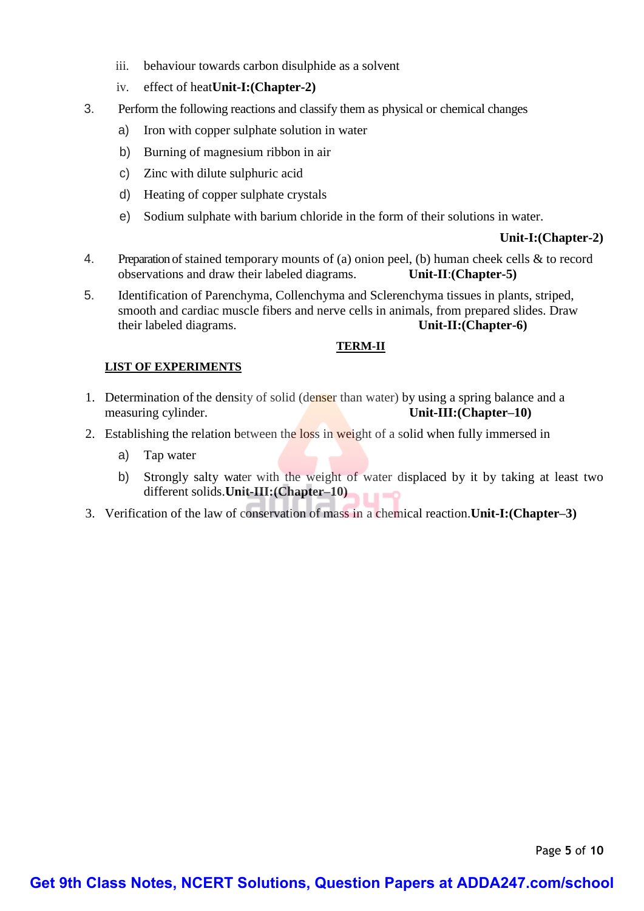- iii. behaviour towards carbon disulphide as a solvent
- iv. effect of heat**Unit-I:(Chapter-2)**
- 3. Perform the following reactions and classify them as physical or chemical changes
	- a) Iron with copper sulphate solution in water
	- b) Burning of magnesium ribbon in air
	- c) Zinc with dilute sulphuric acid
	- d) Heating of copper sulphate crystals
	- e) Sodium sulphate with barium chloride in the form of their solutions in water.

### **Unit-I:(Chapter-2)**

- 4. Preparation of stained temporary mounts of (a) onion peel, (b) human cheek cells & to record observations and draw their labeled diagrams. **Unit-II**:**(Chapter-5)**
- 5. Identification of Parenchyma, Collenchyma and Sclerenchyma tissues in plants, striped, smooth and cardiac muscle fibers and nerve cells in animals, from prepared slides. Draw their labeled diagrams. **Unit-II:(Chapter-6)**

### **TERM-II**

### **LIST OF EXPERIMENTS**

- 1. Determination of the density of solid (denser than water) by using a spring balance and a measuring cylinder. **Unit-III:(Chapter–10)**
- 2. Establishing the relation between the loss in weight of a solid when fully immersed in
	- a) Tap water
	- b) Strongly salty water with the weight of water displaced by it by taking at least two different solids.**Unit-III:(Chapter–10)**  $\blacksquare$
- 3. Verification of the law of conservation of mass in a chemical reaction.**Unit-I:(Chapter–3)**

Page **5** of **10**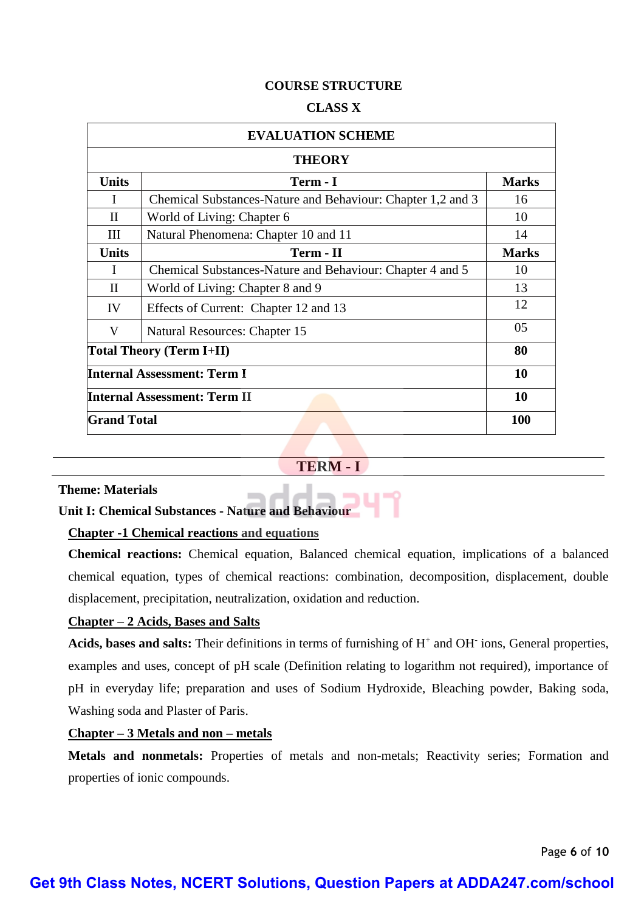### **COURSE STRUCTURE**

#### **CLASS X**

| <b>EVALUATION SCHEME</b>            |                                                             |              |  |
|-------------------------------------|-------------------------------------------------------------|--------------|--|
| <b>THEORY</b>                       |                                                             |              |  |
| <b>Units</b>                        | Term - I                                                    | <b>Marks</b> |  |
| I                                   | Chemical Substances-Nature and Behaviour: Chapter 1,2 and 3 | 16           |  |
| $_{\rm II}$                         | World of Living: Chapter 6                                  | 10           |  |
| III                                 | Natural Phenomena: Chapter 10 and 11                        | 14           |  |
| <b>Units</b>                        | Term - II                                                   | <b>Marks</b> |  |
| I                                   | Chemical Substances-Nature and Behaviour: Chapter 4 and 5   | 10           |  |
| $_{\rm II}$                         | World of Living: Chapter 8 and 9                            | 13           |  |
| IV                                  | Effects of Current: Chapter 12 and 13                       | 12           |  |
| V                                   | Natural Resources: Chapter 15                               | 05           |  |
| <b>Total Theory (Term I+II)</b>     |                                                             | 80           |  |
| <b>Internal Assessment: Term I</b>  |                                                             | 10           |  |
| <b>Internal Assessment: Term II</b> |                                                             | 10           |  |
| <b>Grand Total</b>                  |                                                             | <b>100</b>   |  |

### **TERM - I**

#### **Theme: Materials**

# **Unit I: Chemical Substances - Nature and Behaviour**

### **Chapter -1 Chemical reactions and equations**

**Chemical reactions:** Chemical equation, Balanced chemical equation, implications of a balanced chemical equation, types of chemical reactions: combination, decomposition, displacement, double displacement, precipitation, neutralization, oxidation and reduction.

### **Chapter – 2 Acids, Bases and Salts**

Acids, bases and salts: Their definitions in terms of furnishing of H<sup>+</sup> and OH<sup>-</sup> ions, General properties, examples and uses, concept of pH scale (Definition relating to logarithm not required), importance of pH in everyday life; preparation and uses of Sodium Hydroxide, Bleaching powder, Baking soda, Washing soda and Plaster of Paris.

### **Chapter – 3 Metals and non – metals**

**Metals and nonmetals:** Properties of metals and non-metals; Reactivity series; Formation and properties of ionic compounds.

Page **6** of **10**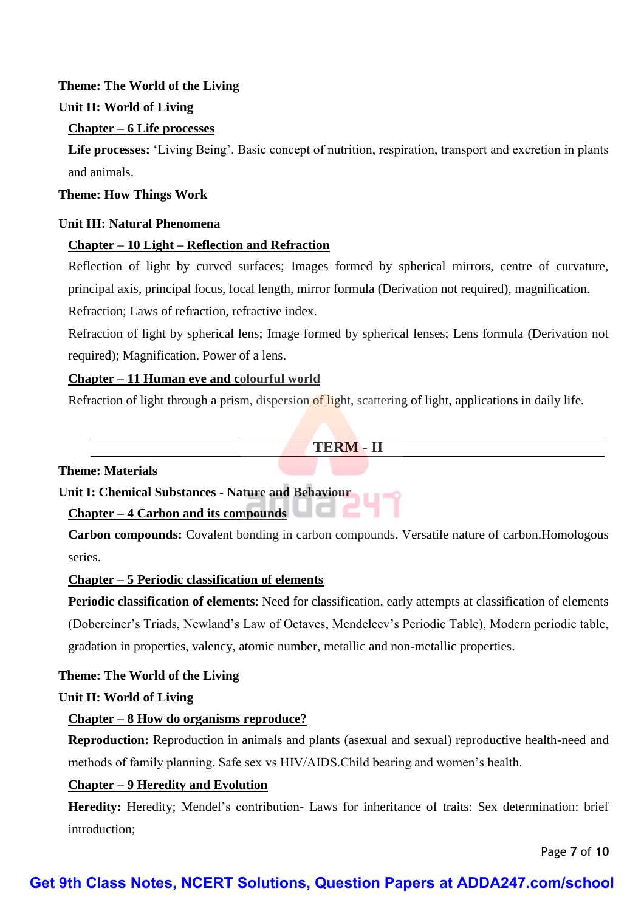### **Theme: The World of the Living**

### **Unit II: World of Living**

### **Chapter – 6 Life processes**

**Life processes:** 'Living Being'. Basic concept of nutrition, respiration, transport and excretion in plants and animals.

### **Theme: How Things Work**

### **Unit III: Natural Phenomena**

# **Chapter – 10 Light – Reflection and Refraction**

Reflection of light by curved surfaces; Images formed by spherical mirrors, centre of curvature, principal axis, principal focus, focal length, mirror formula (Derivation not required), magnification.

Refraction; Laws of refraction, refractive index.

Refraction of light by spherical lens; Image formed by spherical lenses; Lens formula (Derivation not required); Magnification. Power of a lens.

# **Chapter – 11 Human eye and colourful world**

Refraction of light through a prism, dispersion of light, scattering of light, applications in daily life.

# **TERM - II**

# **Theme: Materials**

**Unit I: Chemical Substances - Nature and Behaviour**

### **Chapter – 4 Carbon and its compounds**

**Carbon compounds:** Covalent bonding in carbon compounds. Versatile nature of carbon.Homologous series.

ac

### **Chapter – 5 Periodic classification of elements**

**Periodic classification of elements**: Need for classification, early attempts at classification of elements (Dobereiner's Triads, Newland's Law of Octaves, Mendeleev's Periodic Table), Modern periodic table, gradation in properties, valency, atomic number, metallic and non-metallic properties.

### **Theme: The World of the Living**

### **Unit II: World of Living**

# **Chapter – 8 How do organisms reproduce?**

**Reproduction:** Reproduction in animals and plants (asexual and sexual) reproductive health-need and methods of family planning. Safe sex vs HIV/AIDS.Child bearing and women's health.

# **Chapter – 9 Heredity and Evolution**

**Heredity:** Heredity; Mendel's contribution- Laws for inheritance of traits: Sex determination: brief introduction;

Page **7** of **10**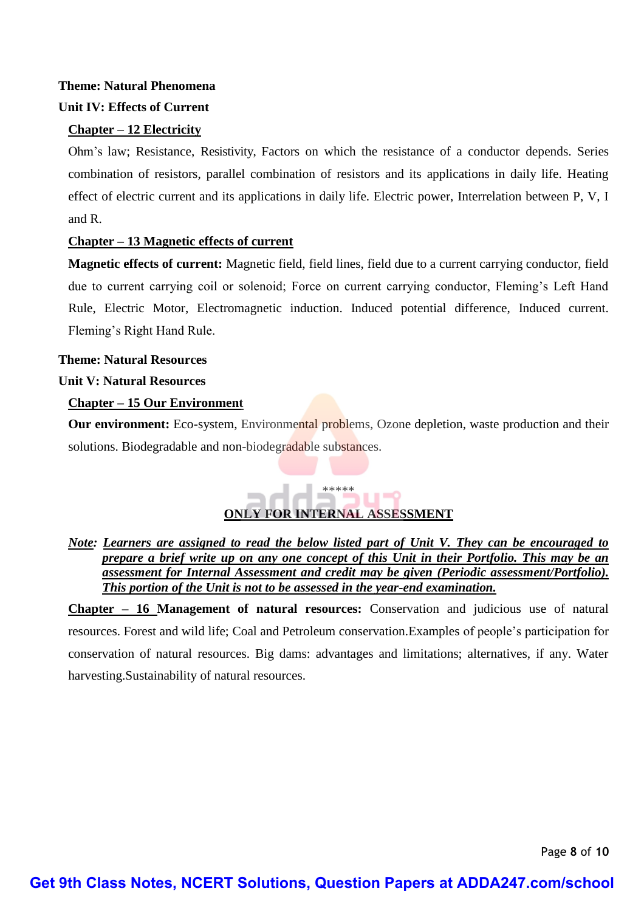# **Theme: Natural Phenomena**

# **Unit IV: Effects of Current**

# **Chapter – 12 Electricity**

Ohm's law; Resistance, Resistivity, Factors on which the resistance of a conductor depends. Series combination of resistors, parallel combination of resistors and its applications in daily life. Heating effect of electric current and its applications in daily life. Electric power, Interrelation between P, V, I and R.

# **Chapter – 13 Magnetic effects of current**

**Magnetic effects of current:** Magnetic field, field lines, field due to a current carrying conductor, field due to current carrying coil or solenoid; Force on current carrying conductor, Fleming's Left Hand Rule, Electric Motor, Electromagnetic induction. Induced potential difference, Induced current. Fleming's Right Hand Rule.

**Theme: Natural Resources Unit V: Natural Resources**

# **Chapter – 15 Our Environment**

**Our environment:** Eco-system, Environmental problems, Ozone depletion, waste production and their solutions. Biodegradable and non-biodegradable substances.

# **ONLY FOR INTERNAL ASSESSMENT**

\*\*\*\*\*

*Note: Learners are assigned to read the below listed part of Unit V. They can be encouraged to prepare a brief write up on any one concept of this Unit in their Portfolio. This may be an assessment for Internal Assessment and credit may be given (Periodic assessment/Portfolio). This portion of the Unit is not to be assessed in the year-end examination.* 

**Chapter – 16 Management of natural resources:** Conservation and judicious use of natural resources. Forest and wild life; Coal and Petroleum conservation.Examples of people's participation for conservation of natural resources. Big dams: advantages and limitations; alternatives, if any. Water harvesting.Sustainability of natural resources.

Page **8** of **10**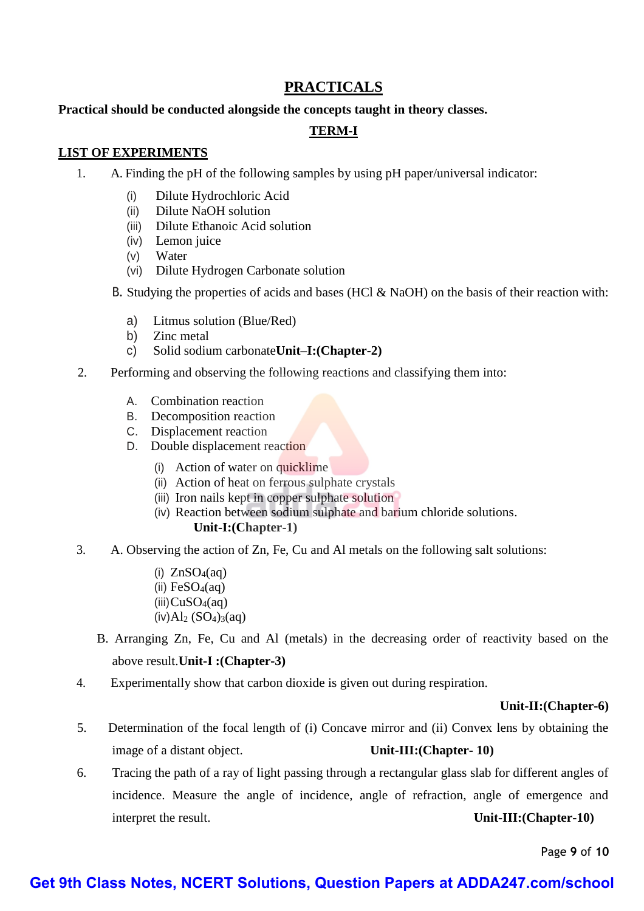# **PRACTICALS**

### **Practical should be conducted alongside the concepts taught in theory classes.**

### **TERM-I**

### **LIST OF EXPERIMENTS**

- 1. A. Finding the pH of the following samples by using pH paper/universal indicator:
	- (i) Dilute Hydrochloric Acid
	- (ii) Dilute NaOH solution
	- (iii) Dilute Ethanoic Acid solution
	- (iv) Lemon juice
	- (v) Water
	- (vi) Dilute Hydrogen Carbonate solution
	- B. Studying the properties of acids and bases (HCl & NaOH) on the basis of their reaction with:
		- a) Litmus solution (Blue/Red)
		- b) Zinc metal
		- c) Solid sodium carbonate**Unit–I:(Chapter-2)**
- 2. Performing and observing the following reactions and classifying them into:
	- A. Combination reaction
	- B. Decomposition reaction
	- C. Displacement reaction
	- D. Double displacement reaction
		- (i) Action of water on quicklime
		- (ii) Action of heat on ferrous sulphate crystals
		- (iii) Iron nails kept in copper sulphate solution
		- (iv) Reaction between sodium sulphate and barium chloride solutions. **Unit-I:(Chapter-1)**
- 3. A. Observing the action of Zn, Fe, Cu and Al metals on the following salt solutions:
	- (i)  $ZnSO_4(aq)$ (ii)  $FeSO<sub>4</sub>(aq)$  $(iii)CuSO<sub>4</sub>(aq)$  $(iv)$ Al<sub>2</sub> (SO<sub>4</sub>)<sub>3</sub>(aq)
	- B. Arranging Zn, Fe, Cu and Al (metals) in the decreasing order of reactivity based on the above result.**Unit-I :(Chapter-3)**
- 4. Experimentally show that carbon dioxide is given out during respiration.

### **Unit-II:(Chapter-6)**

- 5. Determination of the focal length of (i) Concave mirror and (ii) Convex lens by obtaining the image of a distant object. **Unit-III:(Chapter- 10)**
- 6. Tracing the path of a ray of light passing through a rectangular glass slab for different angles of incidence. Measure the angle of incidence, angle of refraction, angle of emergence and interpret the result. **Unit-III:(Chapter-10)**

Page **9** of **10**